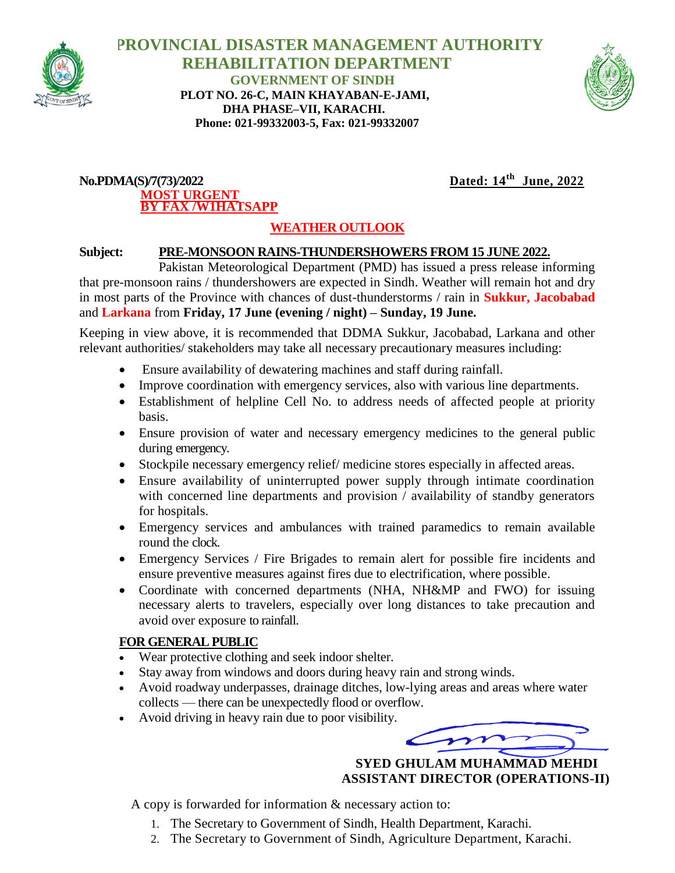

 **PROVINCIAL DISASTER MANAGEMENT AUTHORITY REHABILITATION DEPARTMENT GOVERNMENT OF SINDH PLOT NO. 26-C, MAIN KHAYABAN-E-JAMI, DHA PHASE–VII, KARACHI. Phone: 021-99332003-5, Fax: 021-99332007**



#### $No.PDMA(S)/7(73)/2022$ **MOST URGENT BY FAX /W1HATSAPP**

 **June, 2022**

# **WEATHER OUTLOOK**

### **Subject: PRE-MONSOON RAINS-THUNDERSHOWERS FROM 15 JUNE 2022.**

Pakistan Meteorological Department (PMD) has issued a press release informing that pre-monsoon rains / thundershowers are expected in Sindh. Weather will remain hot and dry in most parts of the Province with chances of dust-thunderstorms / rain in **Sukkur, Jacobabad** and **Larkana** from **Friday, 17 June (evening / night) – Sunday, 19 June.** 

Keeping in view above, it is recommended that DDMA Sukkur, Jacobabad, Larkana and other relevant authorities/ stakeholders may take all necessary precautionary measures including:

- Ensure availability of dewatering machines and staff during rainfall.
- Improve coordination with emergency services, also with various line departments.
- Establishment of helpline Cell No. to address needs of affected people at priority basis.
- Ensure provision of water and necessary emergency medicines to the general public during emergency.
- Stockpile necessary emergency relief/ medicine stores especially in affected areas.
- Ensure availability of uninterrupted power supply through intimate coordination with concerned line departments and provision / availability of standby generators for hospitals.
- Emergency services and ambulances with trained paramedics to remain available round the clock.
- Emergency Services / Fire Brigades to remain alert for possible fire incidents and ensure preventive measures against fires due to electrification, where possible.
- Coordinate with concerned departments (NHA, NH&MP and FWO) for issuing necessary alerts to travelers, especially over long distances to take precaution and avoid over exposure to rainfall.

## **FOR GENERAL PUBLIC**

- Wear protective clothing and seek indoor shelter.
- Stay away from windows and doors during heavy rain and strong winds.
- Avoid roadway underpasses, drainage ditches, low-lying areas and areas where water collects — there can be unexpectedly flood or overflow.
- Avoid driving in heavy rain due to poor visibility.



 **SYED GHULAM MUHAMMAD MEHDI ASSISTANT DIRECTOR (OPERATIONS-II)**

A copy is forwarded for information & necessary action to:

- 1. The Secretary to Government of Sindh, Health Department, Karachi.
- 2. The Secretary to Government of Sindh, Agriculture Department, Karachi.